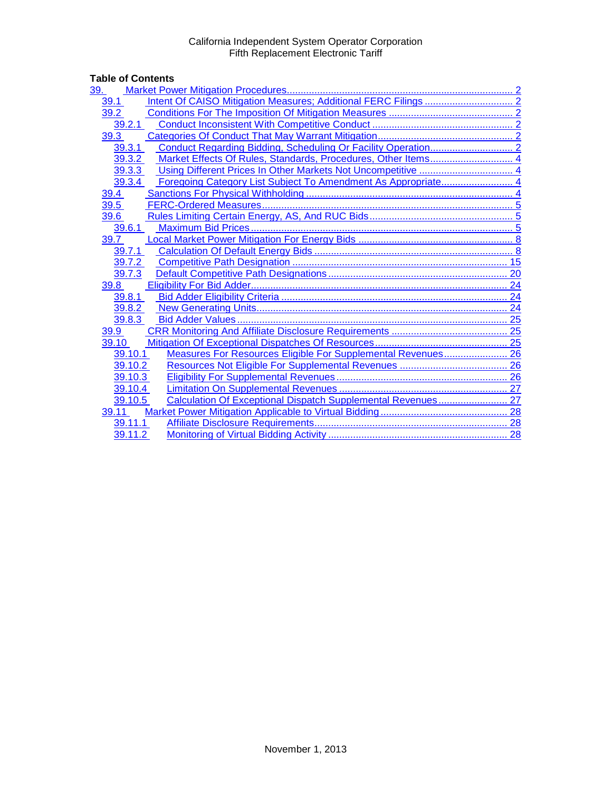# Table of Contents<br>
<u>39. Market Pow</u>

| <u>39.</u> |                                                               |  |
|------------|---------------------------------------------------------------|--|
| 39.1       |                                                               |  |
| 39.2       |                                                               |  |
| 39.2.1     |                                                               |  |
| 39.3       |                                                               |  |
| 39.3.1     |                                                               |  |
| 39.3.2     | Market Effects Of Rules, Standards, Procedures, Other Items 4 |  |
| 39.3.3     |                                                               |  |
| 39.3.4     |                                                               |  |
| 39.4       |                                                               |  |
| 39.5       |                                                               |  |
| 39.6       |                                                               |  |
| 39.6.1     |                                                               |  |
| 39.7       |                                                               |  |
| 39.7.1     |                                                               |  |
| 39.7.2     |                                                               |  |
| 39.7.3     |                                                               |  |
| 39.8       |                                                               |  |
| 39.8.1     |                                                               |  |
| 39.8.2     |                                                               |  |
| 39.8.3     |                                                               |  |
| 39.9       |                                                               |  |
| 39.10      |                                                               |  |
| 39.10.1    | Measures For Resources Eligible For Supplemental Revenues 26  |  |
| 39.10.2    |                                                               |  |
| 39.10.3    |                                                               |  |
| 39.10.4    |                                                               |  |
| 39.10.5    | Calculation Of Exceptional Dispatch Supplemental Revenues 27  |  |
| 39.11      |                                                               |  |
| 39.11.1    |                                                               |  |
| 39.11.2    |                                                               |  |
|            |                                                               |  |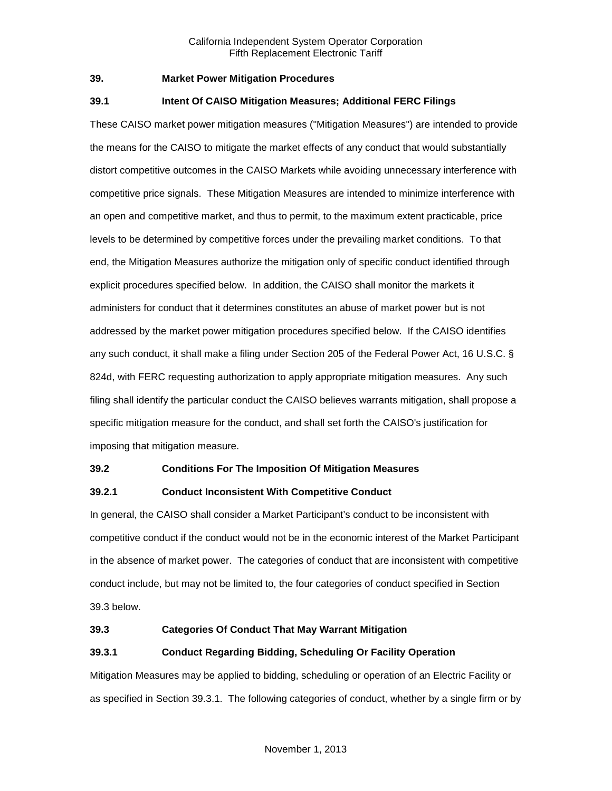#### <span id="page-1-0"></span>**39. Market Power Mitigation Procedures**

#### <span id="page-1-1"></span>**39.1 Intent Of CAISO Mitigation Measures; Additional FERC Filings**

These CAISO market power mitigation measures ("Mitigation Measures") are intended to provide the means for the CAISO to mitigate the market effects of any conduct that would substantially distort competitive outcomes in the CAISO Markets while avoiding unnecessary interference with competitive price signals. These Mitigation Measures are intended to minimize interference with an open and competitive market, and thus to permit, to the maximum extent practicable, price levels to be determined by competitive forces under the prevailing market conditions. To that end, the Mitigation Measures authorize the mitigation only of specific conduct identified through explicit procedures specified below. In addition, the CAISO shall monitor the markets it administers for conduct that it determines constitutes an abuse of market power but is not addressed by the market power mitigation procedures specified below. If the CAISO identifies any such conduct, it shall make a filing under Section 205 of the Federal Power Act, 16 U.S.C. § 824d, with FERC requesting authorization to apply appropriate mitigation measures. Any such filing shall identify the particular conduct the CAISO believes warrants mitigation, shall propose a specific mitigation measure for the conduct, and shall set forth the CAISO's justification for imposing that mitigation measure.

#### <span id="page-1-2"></span>**39.2 Conditions For The Imposition Of Mitigation Measures**

# <span id="page-1-3"></span>**39.2.1 Conduct Inconsistent With Competitive Conduct**

In general, the CAISO shall consider a Market Participant's conduct to be inconsistent with competitive conduct if the conduct would not be in the economic interest of the Market Participant in the absence of market power. The categories of conduct that are inconsistent with competitive conduct include, but may not be limited to, the four categories of conduct specified in Section 39.3 below.

#### <span id="page-1-4"></span>**39.3 Categories Of Conduct That May Warrant Mitigation**

# <span id="page-1-5"></span>**39.3.1 Conduct Regarding Bidding, Scheduling Or Facility Operation**

Mitigation Measures may be applied to bidding, scheduling or operation of an Electric Facility or as specified in Section 39.3.1. The following categories of conduct, whether by a single firm or by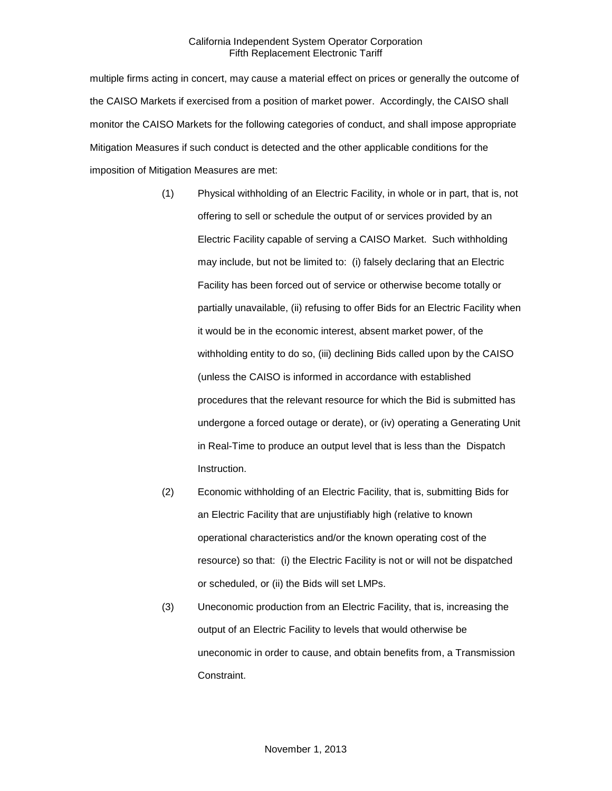multiple firms acting in concert, may cause a material effect on prices or generally the outcome of the CAISO Markets if exercised from a position of market power. Accordingly, the CAISO shall monitor the CAISO Markets for the following categories of conduct, and shall impose appropriate Mitigation Measures if such conduct is detected and the other applicable conditions for the imposition of Mitigation Measures are met:

- (1) Physical withholding of an Electric Facility, in whole or in part, that is, not offering to sell or schedule the output of or services provided by an Electric Facility capable of serving a CAISO Market. Such withholding may include, but not be limited to: (i) falsely declaring that an Electric Facility has been forced out of service or otherwise become totally or partially unavailable, (ii) refusing to offer Bids for an Electric Facility when it would be in the economic interest, absent market power, of the withholding entity to do so, (iii) declining Bids called upon by the CAISO (unless the CAISO is informed in accordance with established procedures that the relevant resource for which the Bid is submitted has undergone a forced outage or derate), or (iv) operating a Generating Unit in Real-Time to produce an output level that is less than the Dispatch Instruction.
- (2) Economic withholding of an Electric Facility, that is, submitting Bids for an Electric Facility that are unjustifiably high (relative to known operational characteristics and/or the known operating cost of the resource) so that: (i) the Electric Facility is not or will not be dispatched or scheduled, or (ii) the Bids will set LMPs.
- (3) Uneconomic production from an Electric Facility, that is, increasing the output of an Electric Facility to levels that would otherwise be uneconomic in order to cause, and obtain benefits from, a Transmission Constraint.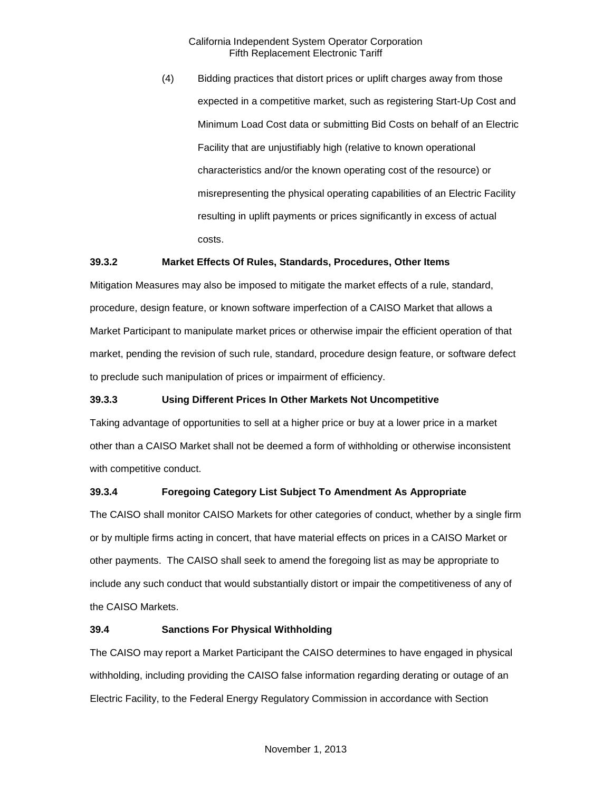(4) Bidding practices that distort prices or uplift charges away from those expected in a competitive market, such as registering Start-Up Cost and Minimum Load Cost data or submitting Bid Costs on behalf of an Electric Facility that are unjustifiably high (relative to known operational characteristics and/or the known operating cost of the resource) or misrepresenting the physical operating capabilities of an Electric Facility resulting in uplift payments or prices significantly in excess of actual costs.

# <span id="page-3-0"></span>**39.3.2 Market Effects Of Rules, Standards, Procedures, Other Items**

Mitigation Measures may also be imposed to mitigate the market effects of a rule, standard, procedure, design feature, or known software imperfection of a CAISO Market that allows a Market Participant to manipulate market prices or otherwise impair the efficient operation of that market, pending the revision of such rule, standard, procedure design feature, or software defect to preclude such manipulation of prices or impairment of efficiency.

# <span id="page-3-1"></span>**39.3.3 Using Different Prices In Other Markets Not Uncompetitive**

Taking advantage of opportunities to sell at a higher price or buy at a lower price in a market other than a CAISO Market shall not be deemed a form of withholding or otherwise inconsistent with competitive conduct.

# <span id="page-3-2"></span>**39.3.4 Foregoing Category List Subject To Amendment As Appropriate**

The CAISO shall monitor CAISO Markets for other categories of conduct, whether by a single firm or by multiple firms acting in concert, that have material effects on prices in a CAISO Market or other payments. The CAISO shall seek to amend the foregoing list as may be appropriate to include any such conduct that would substantially distort or impair the competitiveness of any of the CAISO Markets.

#### <span id="page-3-3"></span>**39.4 Sanctions For Physical Withholding**

The CAISO may report a Market Participant the CAISO determines to have engaged in physical withholding, including providing the CAISO false information regarding derating or outage of an Electric Facility, to the Federal Energy Regulatory Commission in accordance with Section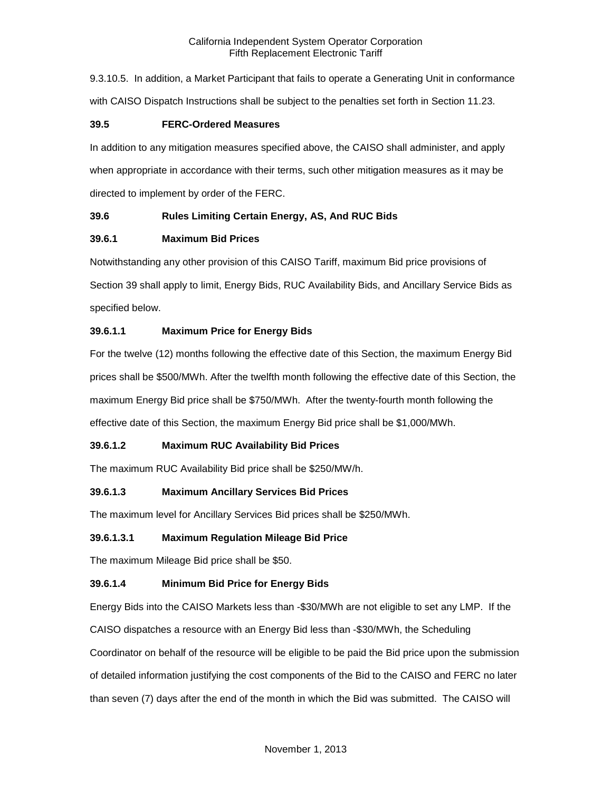9.3.10.5. In addition, a Market Participant that fails to operate a Generating Unit in conformance with CAISO Dispatch Instructions shall be subject to the penalties set forth in Section 11.23.

# <span id="page-4-0"></span>**39.5 FERC-Ordered Measures**

In addition to any mitigation measures specified above, the CAISO shall administer, and apply when appropriate in accordance with their terms, such other mitigation measures as it may be directed to implement by order of the FERC.

# <span id="page-4-1"></span>**39.6 Rules Limiting Certain Energy, AS, And RUC Bids**

# <span id="page-4-2"></span>**39.6.1 Maximum Bid Prices**

Notwithstanding any other provision of this CAISO Tariff, maximum Bid price provisions of Section 39 shall apply to limit, Energy Bids, RUC Availability Bids, and Ancillary Service Bids as specified below.

# **39.6.1.1 Maximum Price for Energy Bids**

For the twelve (12) months following the effective date of this Section, the maximum Energy Bid prices shall be \$500/MWh. After the twelfth month following the effective date of this Section, the maximum Energy Bid price shall be \$750/MWh. After the twenty-fourth month following the effective date of this Section, the maximum Energy Bid price shall be \$1,000/MWh.

# **39.6.1.2 Maximum RUC Availability Bid Prices**

The maximum RUC Availability Bid price shall be \$250/MW/h.

# **39.6.1.3 Maximum Ancillary Services Bid Prices**

The maximum level for Ancillary Services Bid prices shall be \$250/MWh.

#### **39.6.1.3.1 Maximum Regulation Mileage Bid Price**

The maximum Mileage Bid price shall be \$50.

# **39.6.1.4 Minimum Bid Price for Energy Bids**

Energy Bids into the CAISO Markets less than -\$30/MWh are not eligible to set any LMP. If the CAISO dispatches a resource with an Energy Bid less than -\$30/MWh, the Scheduling

Coordinator on behalf of the resource will be eligible to be paid the Bid price upon the submission of detailed information justifying the cost components of the Bid to the CAISO and FERC no later than seven (7) days after the end of the month in which the Bid was submitted. The CAISO will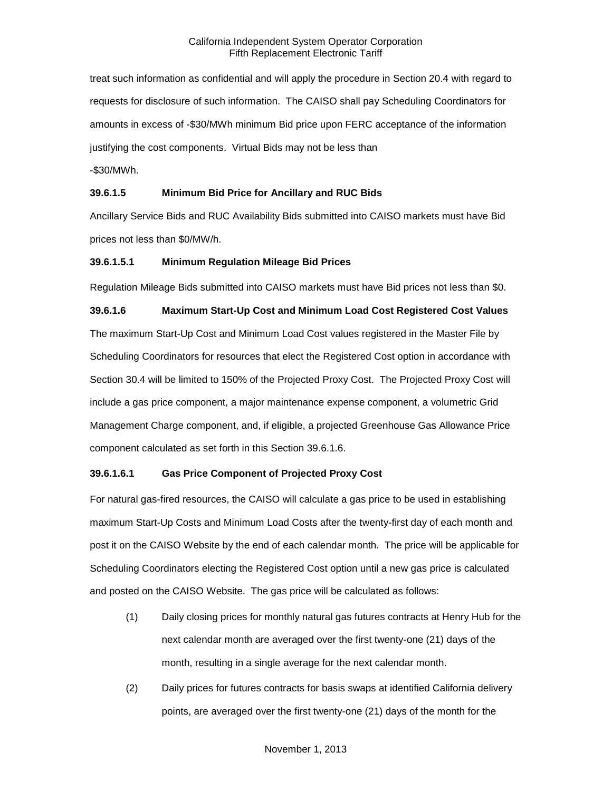treat such information as confidential and will apply the procedure in Section 20.4 with regard to requests for disclosure of such information. The CAISO shall pay Scheduling Coordinators for amounts in excess of -\$30/MWh minimum Bid price upon FERC acceptance of the information justifying the cost components. Virtual Bids may not be less than

-\$30/MWh.

#### **39.6.1.5 Minimum Bid Price for Ancillary and RUC Bids**

Ancillary Service Bids and RUC Availability Bids submitted into CAISO markets must have Bid prices not less than \$0/MW/h.

# **39.6.1.5.1 Minimum Regulation Mileage Bid Prices**

Regulation Mileage Bids submitted into CAISO markets must have Bid prices not less than \$0.

# **39.6.1.6 Maximum Start-Up Cost and Minimum Load Cost Registered Cost Values** The maximum Start-Up Cost and Minimum Load Cost values registered in the Master File by Scheduling Coordinators for resources that elect the Registered Cost option in accordance with Section 30.4 will be limited to 150% of the Projected Proxy Cost. The Projected Proxy Cost will include a gas price component, a major maintenance expense component, a volumetric Grid Management Charge component, and, if eligible, a projected Greenhouse Gas Allowance Price component calculated as set forth in this Section 39.6.1.6.

# **39.6.1.6.1 Gas Price Component of Projected Proxy Cost**

For natural gas-fired resources, the CAISO will calculate a gas price to be used in establishing maximum Start-Up Costs and Minimum Load Costs after the twenty-first day of each month and post it on the CAISO Website by the end of each calendar month. The price will be applicable for Scheduling Coordinators electing the Registered Cost option until a new gas price is calculated and posted on the CAISO Website. The gas price will be calculated as follows:

- (1) Daily closing prices for monthly natural gas futures contracts at Henry Hub for the next calendar month are averaged over the first twenty-one (21) days of the month, resulting in a single average for the next calendar month.
- (2) Daily prices for futures contracts for basis swaps at identified California delivery points, are averaged over the first twenty-one (21) days of the month for the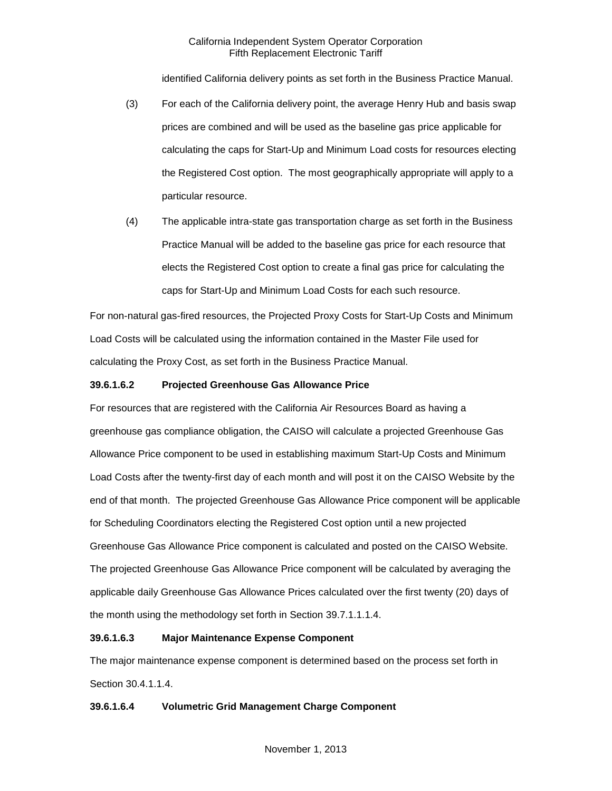identified California delivery points as set forth in the Business Practice Manual.

- (3) For each of the California delivery point, the average Henry Hub and basis swap prices are combined and will be used as the baseline gas price applicable for calculating the caps for Start-Up and Minimum Load costs for resources electing the Registered Cost option. The most geographically appropriate will apply to a particular resource.
- (4) The applicable intra-state gas transportation charge as set forth in the Business Practice Manual will be added to the baseline gas price for each resource that elects the Registered Cost option to create a final gas price for calculating the caps for Start-Up and Minimum Load Costs for each such resource.

For non-natural gas-fired resources, the Projected Proxy Costs for Start-Up Costs and Minimum Load Costs will be calculated using the information contained in the Master File used for calculating the Proxy Cost, as set forth in the Business Practice Manual.

# **39.6.1.6.2 Projected Greenhouse Gas Allowance Price**

For resources that are registered with the California Air Resources Board as having a greenhouse gas compliance obligation, the CAISO will calculate a projected Greenhouse Gas Allowance Price component to be used in establishing maximum Start-Up Costs and Minimum Load Costs after the twenty-first day of each month and will post it on the CAISO Website by the end of that month. The projected Greenhouse Gas Allowance Price component will be applicable for Scheduling Coordinators electing the Registered Cost option until a new projected Greenhouse Gas Allowance Price component is calculated and posted on the CAISO Website. The projected Greenhouse Gas Allowance Price component will be calculated by averaging the applicable daily Greenhouse Gas Allowance Prices calculated over the first twenty (20) days of the month using the methodology set forth in Section 39.7.1.1.1.4.

#### **39.6.1.6.3 Major Maintenance Expense Component**

The major maintenance expense component is determined based on the process set forth in Section 30.4.1.1.4.

# **39.6.1.6.4 Volumetric Grid Management Charge Component**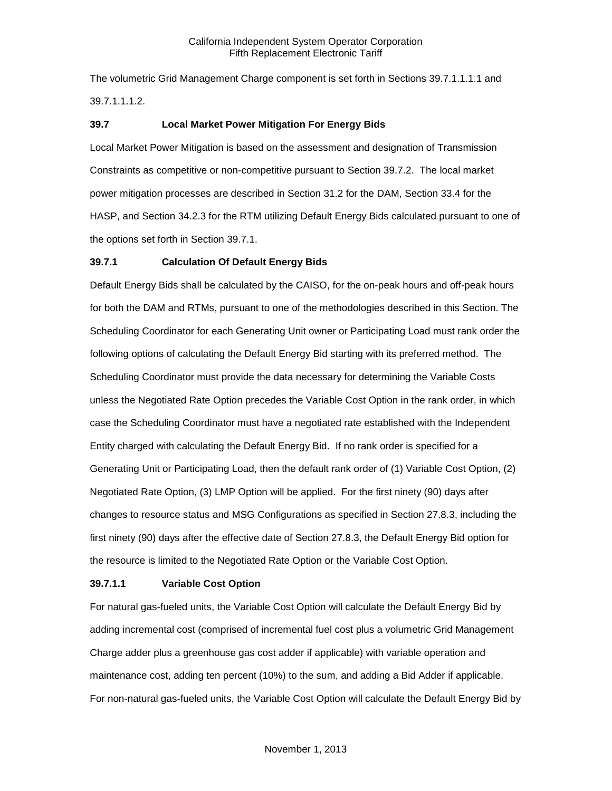The volumetric Grid Management Charge component is set forth in Sections 39.7.1.1.1.1 and 39.7.1.1.1.2.

## <span id="page-7-0"></span>**39.7 Local Market Power Mitigation For Energy Bids**

Local Market Power Mitigation is based on the assessment and designation of Transmission Constraints as competitive or non-competitive pursuant to Section 39.7.2. The local market power mitigation processes are described in Section 31.2 for the DAM, Section 33.4 for the HASP, and Section 34.2.3 for the RTM utilizing Default Energy Bids calculated pursuant to one of the options set forth in Section 39.7.1.

# <span id="page-7-1"></span>**39.7.1 Calculation Of Default Energy Bids**

Default Energy Bids shall be calculated by the CAISO, for the on-peak hours and off-peak hours for both the DAM and RTMs, pursuant to one of the methodologies described in this Section. The Scheduling Coordinator for each Generating Unit owner or Participating Load must rank order the following options of calculating the Default Energy Bid starting with its preferred method. The Scheduling Coordinator must provide the data necessary for determining the Variable Costs unless the Negotiated Rate Option precedes the Variable Cost Option in the rank order, in which case the Scheduling Coordinator must have a negotiated rate established with the Independent Entity charged with calculating the Default Energy Bid. If no rank order is specified for a Generating Unit or Participating Load, then the default rank order of (1) Variable Cost Option, (2) Negotiated Rate Option, (3) LMP Option will be applied. For the first ninety (90) days after changes to resource status and MSG Configurations as specified in Section 27.8.3, including the first ninety (90) days after the effective date of Section 27.8.3, the Default Energy Bid option for the resource is limited to the Negotiated Rate Option or the Variable Cost Option.

#### **39.7.1.1 Variable Cost Option**

For natural gas-fueled units, the Variable Cost Option will calculate the Default Energy Bid by adding incremental cost (comprised of incremental fuel cost plus a volumetric Grid Management Charge adder plus a greenhouse gas cost adder if applicable) with variable operation and maintenance cost, adding ten percent (10%) to the sum, and adding a Bid Adder if applicable. For non-natural gas-fueled units, the Variable Cost Option will calculate the Default Energy Bid by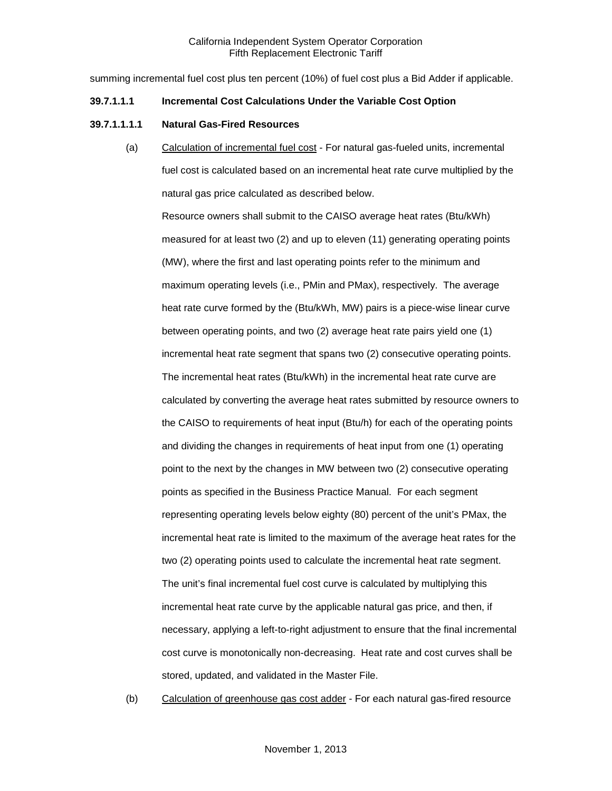summing incremental fuel cost plus ten percent (10%) of fuel cost plus a Bid Adder if applicable.

#### **39.7.1.1.1 Incremental Cost Calculations Under the Variable Cost Option**

#### **39.7.1.1.1.1 Natural Gas-Fired Resources**

(a) Calculation of incremental fuel cost - For natural gas-fueled units, incremental fuel cost is calculated based on an incremental heat rate curve multiplied by the natural gas price calculated as described below.

Resource owners shall submit to the CAISO average heat rates (Btu/kWh) measured for at least two (2) and up to eleven (11) generating operating points (MW), where the first and last operating points refer to the minimum and maximum operating levels (i.e., PMin and PMax), respectively. The average heat rate curve formed by the (Btu/kWh, MW) pairs is a piece-wise linear curve between operating points, and two (2) average heat rate pairs yield one (1) incremental heat rate segment that spans two (2) consecutive operating points. The incremental heat rates (Btu/kWh) in the incremental heat rate curve are calculated by converting the average heat rates submitted by resource owners to the CAISO to requirements of heat input (Btu/h) for each of the operating points and dividing the changes in requirements of heat input from one (1) operating point to the next by the changes in MW between two (2) consecutive operating points as specified in the Business Practice Manual. For each segment representing operating levels below eighty (80) percent of the unit's PMax, the incremental heat rate is limited to the maximum of the average heat rates for the two (2) operating points used to calculate the incremental heat rate segment. The unit's final incremental fuel cost curve is calculated by multiplying this incremental heat rate curve by the applicable natural gas price, and then, if necessary, applying a left-to-right adjustment to ensure that the final incremental cost curve is monotonically non-decreasing. Heat rate and cost curves shall be stored, updated, and validated in the Master File.

(b) Calculation of greenhouse gas cost adder - For each natural gas-fired resource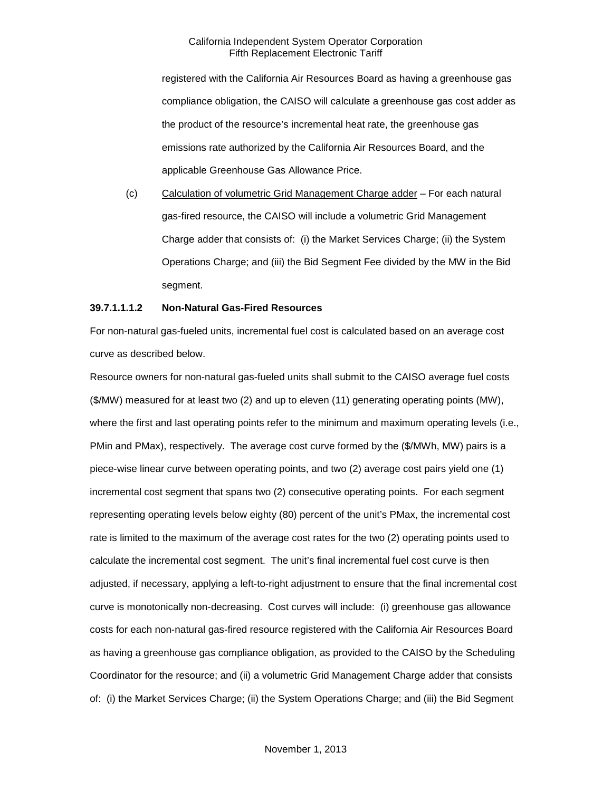registered with the California Air Resources Board as having a greenhouse gas compliance obligation, the CAISO will calculate a greenhouse gas cost adder as the product of the resource's incremental heat rate, the greenhouse gas emissions rate authorized by the California Air Resources Board, and the applicable Greenhouse Gas Allowance Price.

(c) Calculation of volumetric Grid Management Charge adder – For each natural gas-fired resource, the CAISO will include a volumetric Grid Management Charge adder that consists of: (i) the Market Services Charge; (ii) the System Operations Charge; and (iii) the Bid Segment Fee divided by the MW in the Bid segment.

#### **39.7.1.1.1.2 Non-Natural Gas-Fired Resources**

For non-natural gas-fueled units, incremental fuel cost is calculated based on an average cost curve as described below.

Resource owners for non-natural gas-fueled units shall submit to the CAISO average fuel costs (\$/MW) measured for at least two (2) and up to eleven (11) generating operating points (MW), where the first and last operating points refer to the minimum and maximum operating levels (i.e., PMin and PMax), respectively. The average cost curve formed by the (\$/MWh, MW) pairs is a piece-wise linear curve between operating points, and two (2) average cost pairs yield one (1) incremental cost segment that spans two (2) consecutive operating points. For each segment representing operating levels below eighty (80) percent of the unit's PMax, the incremental cost rate is limited to the maximum of the average cost rates for the two (2) operating points used to calculate the incremental cost segment. The unit's final incremental fuel cost curve is then adjusted, if necessary, applying a left-to-right adjustment to ensure that the final incremental cost curve is monotonically non-decreasing. Cost curves will include: (i) greenhouse gas allowance costs for each non-natural gas-fired resource registered with the California Air Resources Board as having a greenhouse gas compliance obligation, as provided to the CAISO by the Scheduling Coordinator for the resource; and (ii) a volumetric Grid Management Charge adder that consists of: (i) the Market Services Charge; (ii) the System Operations Charge; and (iii) the Bid Segment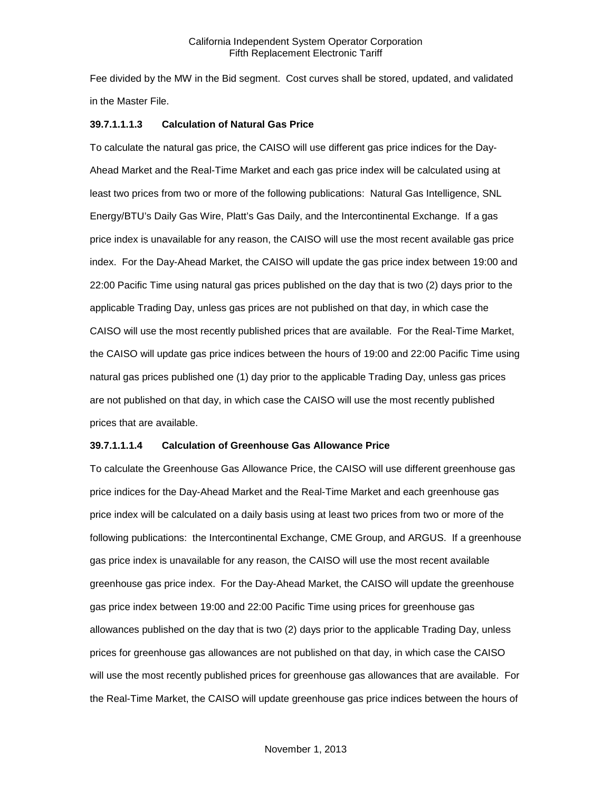Fee divided by the MW in the Bid segment. Cost curves shall be stored, updated, and validated in the Master File.

#### **39.7.1.1.1.3 Calculation of Natural Gas Price**

To calculate the natural gas price, the CAISO will use different gas price indices for the Day-Ahead Market and the Real-Time Market and each gas price index will be calculated using at least two prices from two or more of the following publications: Natural Gas Intelligence, SNL Energy/BTU's Daily Gas Wire, Platt's Gas Daily, and the Intercontinental Exchange. If a gas price index is unavailable for any reason, the CAISO will use the most recent available gas price index. For the Day-Ahead Market, the CAISO will update the gas price index between 19:00 and 22:00 Pacific Time using natural gas prices published on the day that is two (2) days prior to the applicable Trading Day, unless gas prices are not published on that day, in which case the CAISO will use the most recently published prices that are available. For the Real-Time Market, the CAISO will update gas price indices between the hours of 19:00 and 22:00 Pacific Time using natural gas prices published one (1) day prior to the applicable Trading Day, unless gas prices are not published on that day, in which case the CAISO will use the most recently published prices that are available.

#### **39.7.1.1.1.4 Calculation of Greenhouse Gas Allowance Price**

To calculate the Greenhouse Gas Allowance Price, the CAISO will use different greenhouse gas price indices for the Day-Ahead Market and the Real-Time Market and each greenhouse gas price index will be calculated on a daily basis using at least two prices from two or more of the following publications: the Intercontinental Exchange, CME Group, and ARGUS. If a greenhouse gas price index is unavailable for any reason, the CAISO will use the most recent available greenhouse gas price index. For the Day-Ahead Market, the CAISO will update the greenhouse gas price index between 19:00 and 22:00 Pacific Time using prices for greenhouse gas allowances published on the day that is two (2) days prior to the applicable Trading Day, unless prices for greenhouse gas allowances are not published on that day, in which case the CAISO will use the most recently published prices for greenhouse gas allowances that are available. For the Real-Time Market, the CAISO will update greenhouse gas price indices between the hours of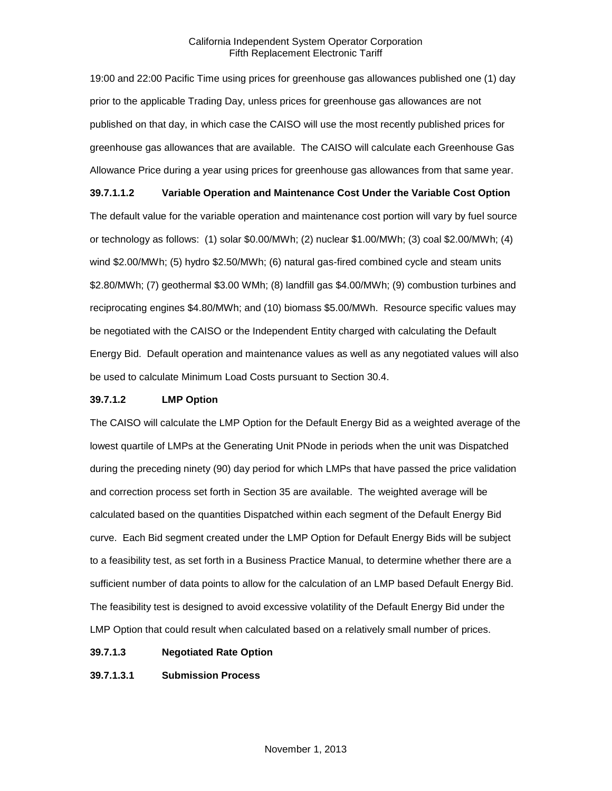19:00 and 22:00 Pacific Time using prices for greenhouse gas allowances published one (1) day prior to the applicable Trading Day, unless prices for greenhouse gas allowances are not published on that day, in which case the CAISO will use the most recently published prices for greenhouse gas allowances that are available. The CAISO will calculate each Greenhouse Gas Allowance Price during a year using prices for greenhouse gas allowances from that same year.

**39.7.1.1.2 Variable Operation and Maintenance Cost Under the Variable Cost Option** The default value for the variable operation and maintenance cost portion will vary by fuel source or technology as follows: (1) solar \$0.00/MWh; (2) nuclear \$1.00/MWh; (3) coal \$2.00/MWh; (4) wind \$2.00/MWh; (5) hydro \$2.50/MWh; (6) natural gas-fired combined cycle and steam units \$2.80/MWh; (7) geothermal \$3.00 WMh; (8) landfill gas \$4.00/MWh; (9) combustion turbines and reciprocating engines \$4.80/MWh; and (10) biomass \$5.00/MWh. Resource specific values may be negotiated with the CAISO or the Independent Entity charged with calculating the Default Energy Bid. Default operation and maintenance values as well as any negotiated values will also be used to calculate Minimum Load Costs pursuant to Section 30.4.

#### **39.7.1.2 LMP Option**

The CAISO will calculate the LMP Option for the Default Energy Bid as a weighted average of the lowest quartile of LMPs at the Generating Unit PNode in periods when the unit was Dispatched during the preceding ninety (90) day period for which LMPs that have passed the price validation and correction process set forth in Section 35 are available. The weighted average will be calculated based on the quantities Dispatched within each segment of the Default Energy Bid curve. Each Bid segment created under the LMP Option for Default Energy Bids will be subject to a feasibility test, as set forth in a Business Practice Manual, to determine whether there are a sufficient number of data points to allow for the calculation of an LMP based Default Energy Bid. The feasibility test is designed to avoid excessive volatility of the Default Energy Bid under the LMP Option that could result when calculated based on a relatively small number of prices.

- **39.7.1.3 Negotiated Rate Option**
- **39.7.1.3.1 Submission Process**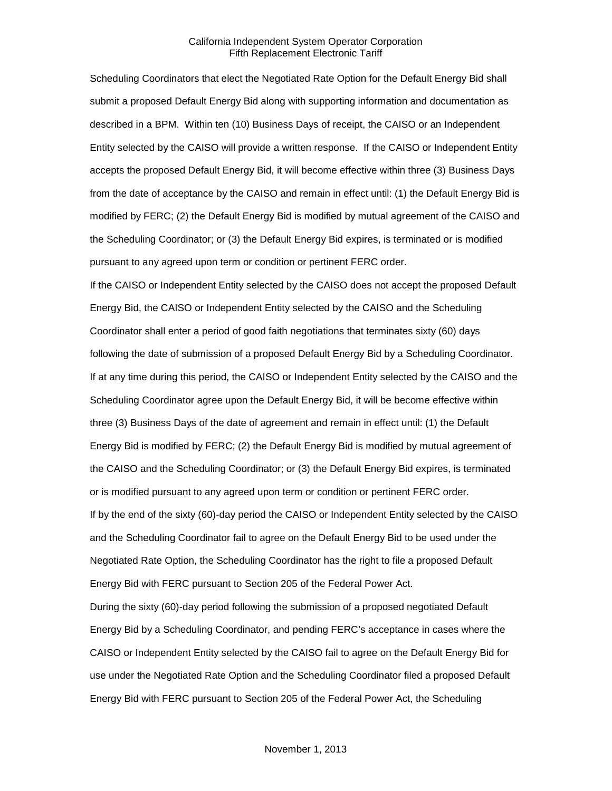Scheduling Coordinators that elect the Negotiated Rate Option for the Default Energy Bid shall submit a proposed Default Energy Bid along with supporting information and documentation as described in a BPM. Within ten (10) Business Days of receipt, the CAISO or an Independent Entity selected by the CAISO will provide a written response. If the CAISO or Independent Entity accepts the proposed Default Energy Bid, it will become effective within three (3) Business Days from the date of acceptance by the CAISO and remain in effect until: (1) the Default Energy Bid is modified by FERC; (2) the Default Energy Bid is modified by mutual agreement of the CAISO and the Scheduling Coordinator; or (3) the Default Energy Bid expires, is terminated or is modified pursuant to any agreed upon term or condition or pertinent FERC order.

If the CAISO or Independent Entity selected by the CAISO does not accept the proposed Default Energy Bid, the CAISO or Independent Entity selected by the CAISO and the Scheduling Coordinator shall enter a period of good faith negotiations that terminates sixty (60) days following the date of submission of a proposed Default Energy Bid by a Scheduling Coordinator. If at any time during this period, the CAISO or Independent Entity selected by the CAISO and the Scheduling Coordinator agree upon the Default Energy Bid, it will be become effective within three (3) Business Days of the date of agreement and remain in effect until: (1) the Default Energy Bid is modified by FERC; (2) the Default Energy Bid is modified by mutual agreement of the CAISO and the Scheduling Coordinator; or (3) the Default Energy Bid expires, is terminated or is modified pursuant to any agreed upon term or condition or pertinent FERC order. If by the end of the sixty (60)-day period the CAISO or Independent Entity selected by the CAISO and the Scheduling Coordinator fail to agree on the Default Energy Bid to be used under the Negotiated Rate Option, the Scheduling Coordinator has the right to file a proposed Default Energy Bid with FERC pursuant to Section 205 of the Federal Power Act. During the sixty (60)-day period following the submission of a proposed negotiated Default Energy Bid by a Scheduling Coordinator, and pending FERC's acceptance in cases where the CAISO or Independent Entity selected by the CAISO fail to agree on the Default Energy Bid for use under the Negotiated Rate Option and the Scheduling Coordinator filed a proposed Default

Energy Bid with FERC pursuant to Section 205 of the Federal Power Act, the Scheduling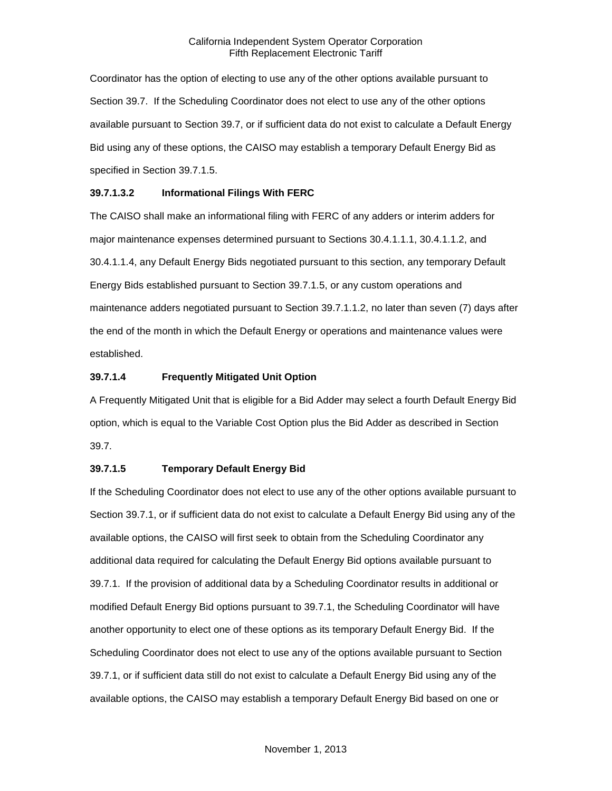Coordinator has the option of electing to use any of the other options available pursuant to Section 39.7. If the Scheduling Coordinator does not elect to use any of the other options available pursuant to Section 39.7, or if sufficient data do not exist to calculate a Default Energy Bid using any of these options, the CAISO may establish a temporary Default Energy Bid as specified in Section 39.7.1.5.

# **39.7.1.3.2 Informational Filings With FERC**

The CAISO shall make an informational filing with FERC of any adders or interim adders for major maintenance expenses determined pursuant to Sections 30.4.1.1.1, 30.4.1.1.2, and 30.4.1.1.4, any Default Energy Bids negotiated pursuant to this section, any temporary Default Energy Bids established pursuant to Section 39.7.1.5, or any custom operations and maintenance adders negotiated pursuant to Section 39.7.1.1.2, no later than seven (7) days after the end of the month in which the Default Energy or operations and maintenance values were established.

# **39.7.1.4 Frequently Mitigated Unit Option**

A Frequently Mitigated Unit that is eligible for a Bid Adder may select a fourth Default Energy Bid option, which is equal to the Variable Cost Option plus the Bid Adder as described in Section 39.7.

#### **39.7.1.5 Temporary Default Energy Bid**

If the Scheduling Coordinator does not elect to use any of the other options available pursuant to Section 39.7.1, or if sufficient data do not exist to calculate a Default Energy Bid using any of the available options, the CAISO will first seek to obtain from the Scheduling Coordinator any additional data required for calculating the Default Energy Bid options available pursuant to 39.7.1. If the provision of additional data by a Scheduling Coordinator results in additional or modified Default Energy Bid options pursuant to 39.7.1, the Scheduling Coordinator will have another opportunity to elect one of these options as its temporary Default Energy Bid. If the Scheduling Coordinator does not elect to use any of the options available pursuant to Section 39.7.1, or if sufficient data still do not exist to calculate a Default Energy Bid using any of the available options, the CAISO may establish a temporary Default Energy Bid based on one or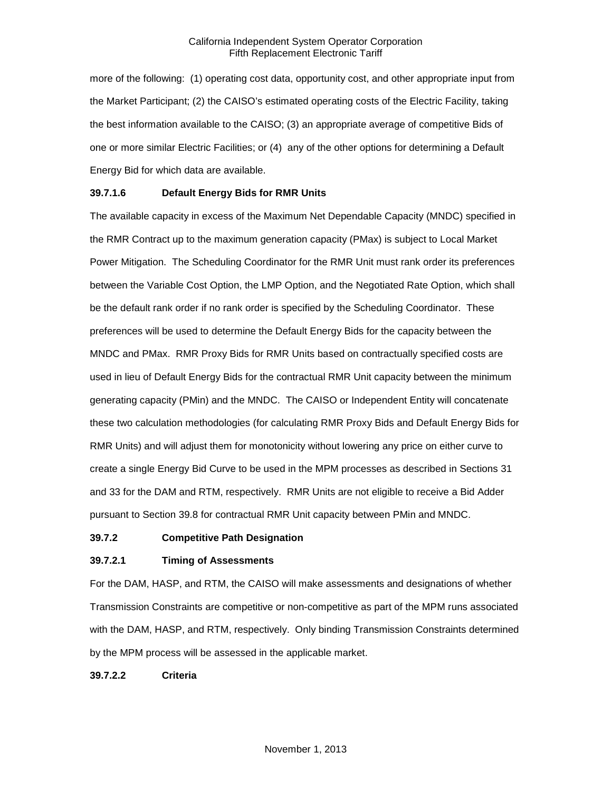more of the following: (1) operating cost data, opportunity cost, and other appropriate input from the Market Participant; (2) the CAISO's estimated operating costs of the Electric Facility, taking the best information available to the CAISO; (3) an appropriate average of competitive Bids of one or more similar Electric Facilities; or (4) any of the other options for determining a Default Energy Bid for which data are available.

#### **39.7.1.6 Default Energy Bids for RMR Units**

The available capacity in excess of the Maximum Net Dependable Capacity (MNDC) specified in the RMR Contract up to the maximum generation capacity (PMax) is subject to Local Market Power Mitigation. The Scheduling Coordinator for the RMR Unit must rank order its preferences between the Variable Cost Option, the LMP Option, and the Negotiated Rate Option, which shall be the default rank order if no rank order is specified by the Scheduling Coordinator. These preferences will be used to determine the Default Energy Bids for the capacity between the MNDC and PMax. RMR Proxy Bids for RMR Units based on contractually specified costs are used in lieu of Default Energy Bids for the contractual RMR Unit capacity between the minimum generating capacity (PMin) and the MNDC. The CAISO or Independent Entity will concatenate these two calculation methodologies (for calculating RMR Proxy Bids and Default Energy Bids for RMR Units) and will adjust them for monotonicity without lowering any price on either curve to create a single Energy Bid Curve to be used in the MPM processes as described in Sections 31 and 33 for the DAM and RTM, respectively. RMR Units are not eligible to receive a Bid Adder pursuant to Section 39.8 for contractual RMR Unit capacity between PMin and MNDC.

#### <span id="page-14-0"></span>**39.7.2 Competitive Path Designation**

#### **39.7.2.1 Timing of Assessments**

For the DAM, HASP, and RTM, the CAISO will make assessments and designations of whether Transmission Constraints are competitive or non-competitive as part of the MPM runs associated with the DAM, HASP, and RTM, respectively. Only binding Transmission Constraints determined by the MPM process will be assessed in the applicable market.

**39.7.2.2 Criteria**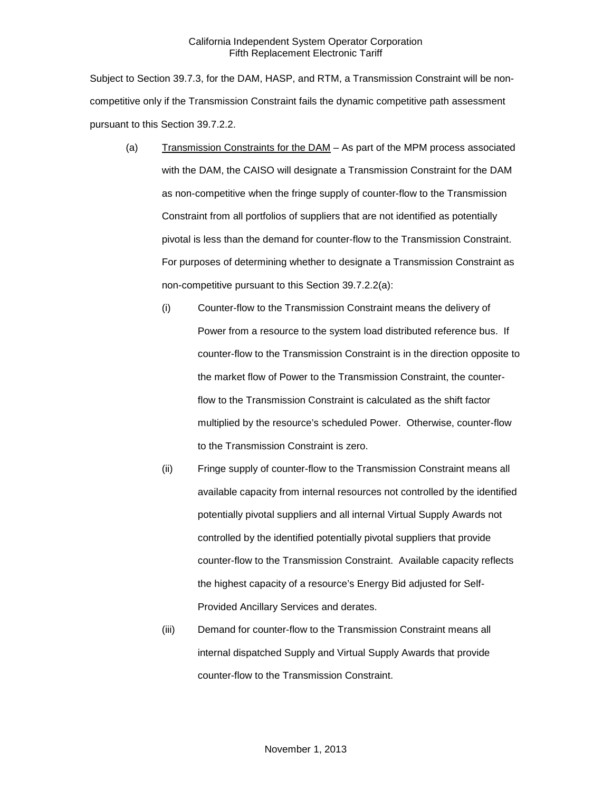Subject to Section 39.7.3, for the DAM, HASP, and RTM, a Transmission Constraint will be noncompetitive only if the Transmission Constraint fails the dynamic competitive path assessment pursuant to this Section 39.7.2.2.

- (a) Transmission Constraints for the DAM As part of the MPM process associated with the DAM, the CAISO will designate a Transmission Constraint for the DAM as non-competitive when the fringe supply of counter-flow to the Transmission Constraint from all portfolios of suppliers that are not identified as potentially pivotal is less than the demand for counter-flow to the Transmission Constraint. For purposes of determining whether to designate a Transmission Constraint as non-competitive pursuant to this Section 39.7.2.2(a):
	- (i) Counter-flow to the Transmission Constraint means the delivery of Power from a resource to the system load distributed reference bus. If counter-flow to the Transmission Constraint is in the direction opposite to the market flow of Power to the Transmission Constraint, the counterflow to the Transmission Constraint is calculated as the shift factor multiplied by the resource's scheduled Power. Otherwise, counter-flow to the Transmission Constraint is zero.
	- (ii) Fringe supply of counter-flow to the Transmission Constraint means all available capacity from internal resources not controlled by the identified potentially pivotal suppliers and all internal Virtual Supply Awards not controlled by the identified potentially pivotal suppliers that provide counter-flow to the Transmission Constraint. Available capacity reflects the highest capacity of a resource's Energy Bid adjusted for Self-Provided Ancillary Services and derates.
	- (iii) Demand for counter-flow to the Transmission Constraint means all internal dispatched Supply and Virtual Supply Awards that provide counter-flow to the Transmission Constraint.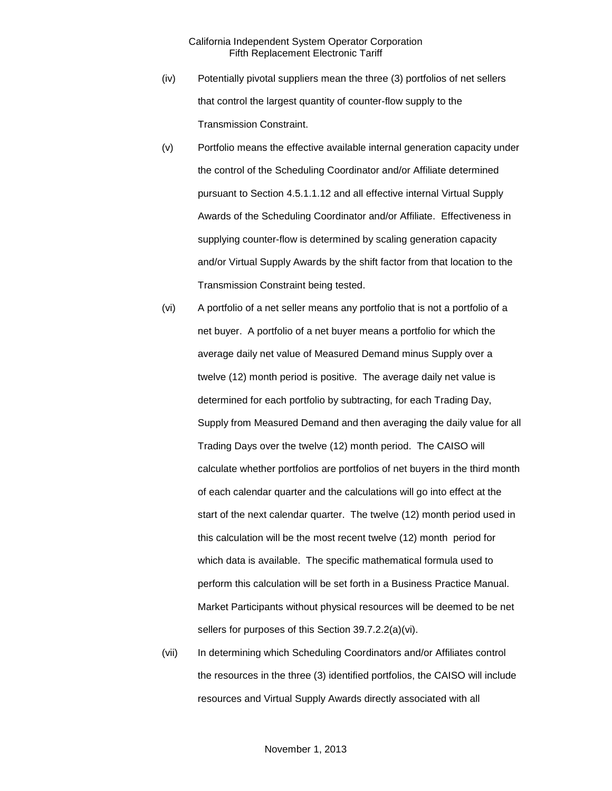- (iv) Potentially pivotal suppliers mean the three (3) portfolios of net sellers that control the largest quantity of counter-flow supply to the Transmission Constraint.
- (v) Portfolio means the effective available internal generation capacity under the control of the Scheduling Coordinator and/or Affiliate determined pursuant to Section 4.5.1.1.12 and all effective internal Virtual Supply Awards of the Scheduling Coordinator and/or Affiliate. Effectiveness in supplying counter-flow is determined by scaling generation capacity and/or Virtual Supply Awards by the shift factor from that location to the Transmission Constraint being tested.
- (vi) A portfolio of a net seller means any portfolio that is not a portfolio of a net buyer. A portfolio of a net buyer means a portfolio for which the average daily net value of Measured Demand minus Supply over a twelve (12) month period is positive. The average daily net value is determined for each portfolio by subtracting, for each Trading Day, Supply from Measured Demand and then averaging the daily value for all Trading Days over the twelve (12) month period. The CAISO will calculate whether portfolios are portfolios of net buyers in the third month of each calendar quarter and the calculations will go into effect at the start of the next calendar quarter. The twelve (12) month period used in this calculation will be the most recent twelve (12) month period for which data is available. The specific mathematical formula used to perform this calculation will be set forth in a Business Practice Manual. Market Participants without physical resources will be deemed to be net sellers for purposes of this Section 39.7.2.2(a)(vi).
- (vii) In determining which Scheduling Coordinators and/or Affiliates control the resources in the three (3) identified portfolios, the CAISO will include resources and Virtual Supply Awards directly associated with all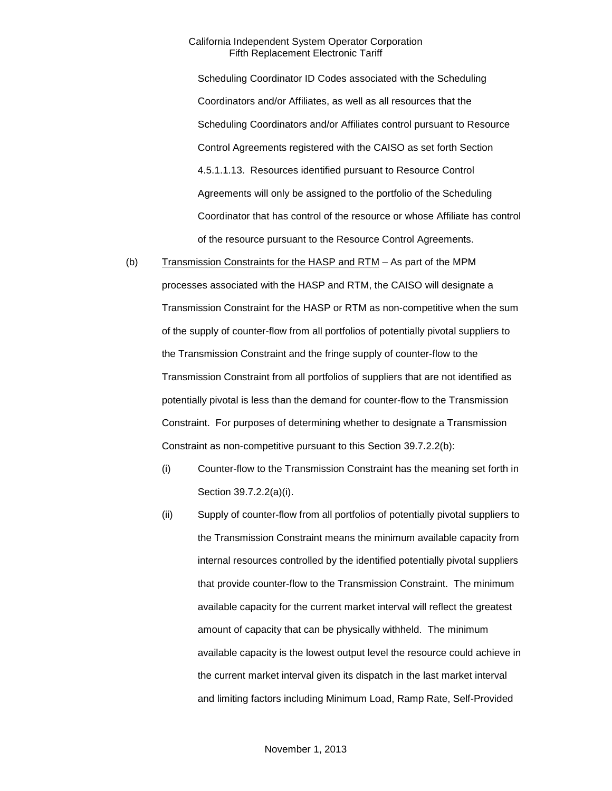Scheduling Coordinator ID Codes associated with the Scheduling Coordinators and/or Affiliates, as well as all resources that the Scheduling Coordinators and/or Affiliates control pursuant to Resource Control Agreements registered with the CAISO as set forth Section 4.5.1.1.13. Resources identified pursuant to Resource Control Agreements will only be assigned to the portfolio of the Scheduling Coordinator that has control of the resource or whose Affiliate has control of the resource pursuant to the Resource Control Agreements.

- (b) Transmission Constraints for the HASP and RTM As part of the MPM processes associated with the HASP and RTM, the CAISO will designate a Transmission Constraint for the HASP or RTM as non-competitive when the sum of the supply of counter-flow from all portfolios of potentially pivotal suppliers to the Transmission Constraint and the fringe supply of counter-flow to the Transmission Constraint from all portfolios of suppliers that are not identified as potentially pivotal is less than the demand for counter-flow to the Transmission Constraint. For purposes of determining whether to designate a Transmission Constraint as non-competitive pursuant to this Section 39.7.2.2(b):
	- (i) Counter-flow to the Transmission Constraint has the meaning set forth in Section 39.7.2.2(a)(i).
	- (ii) Supply of counter-flow from all portfolios of potentially pivotal suppliers to the Transmission Constraint means the minimum available capacity from internal resources controlled by the identified potentially pivotal suppliers that provide counter-flow to the Transmission Constraint. The minimum available capacity for the current market interval will reflect the greatest amount of capacity that can be physically withheld. The minimum available capacity is the lowest output level the resource could achieve in the current market interval given its dispatch in the last market interval and limiting factors including Minimum Load, Ramp Rate, Self-Provided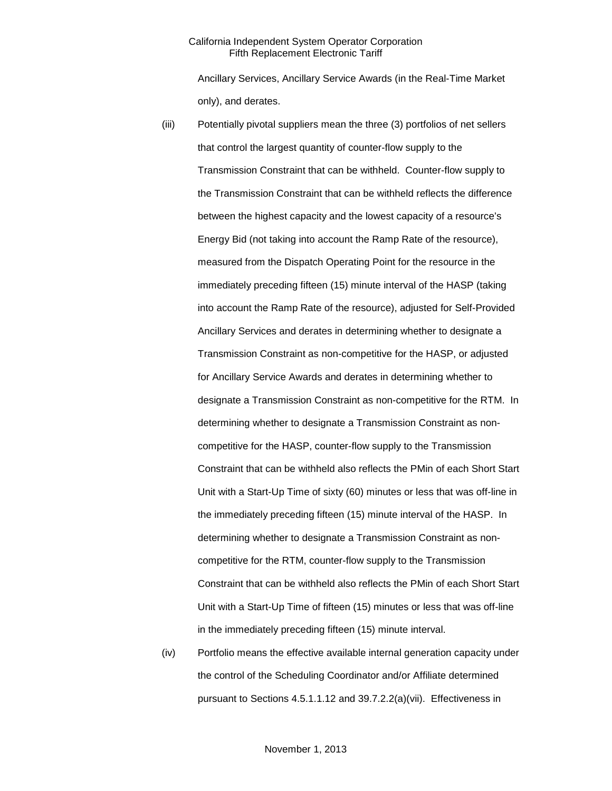Ancillary Services, Ancillary Service Awards (in the Real-Time Market only), and derates.

- (iii) Potentially pivotal suppliers mean the three (3) portfolios of net sellers that control the largest quantity of counter-flow supply to the Transmission Constraint that can be withheld. Counter-flow supply to the Transmission Constraint that can be withheld reflects the difference between the highest capacity and the lowest capacity of a resource's Energy Bid (not taking into account the Ramp Rate of the resource), measured from the Dispatch Operating Point for the resource in the immediately preceding fifteen (15) minute interval of the HASP (taking into account the Ramp Rate of the resource), adjusted for Self-Provided Ancillary Services and derates in determining whether to designate a Transmission Constraint as non-competitive for the HASP, or adjusted for Ancillary Service Awards and derates in determining whether to designate a Transmission Constraint as non-competitive for the RTM. In determining whether to designate a Transmission Constraint as noncompetitive for the HASP, counter-flow supply to the Transmission Constraint that can be withheld also reflects the PMin of each Short Start Unit with a Start-Up Time of sixty (60) minutes or less that was off-line in the immediately preceding fifteen (15) minute interval of the HASP. In determining whether to designate a Transmission Constraint as noncompetitive for the RTM, counter-flow supply to the Transmission Constraint that can be withheld also reflects the PMin of each Short Start Unit with a Start-Up Time of fifteen (15) minutes or less that was off-line in the immediately preceding fifteen (15) minute interval.
- (iv) Portfolio means the effective available internal generation capacity under the control of the Scheduling Coordinator and/or Affiliate determined pursuant to Sections 4.5.1.1.12 and 39.7.2.2(a)(vii). Effectiveness in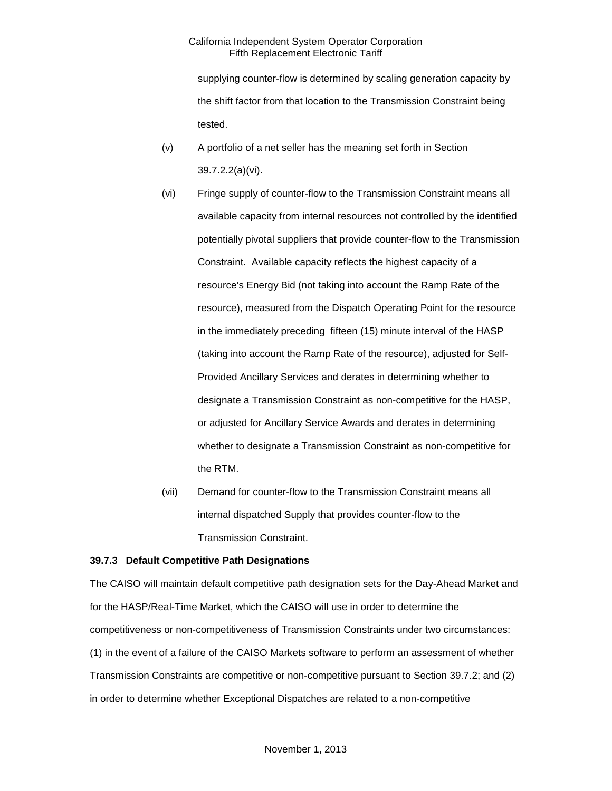supplying counter-flow is determined by scaling generation capacity by the shift factor from that location to the Transmission Constraint being tested.

- (v) A portfolio of a net seller has the meaning set forth in Section 39.7.2.2(a)(vi).
- (vi) Fringe supply of counter-flow to the Transmission Constraint means all available capacity from internal resources not controlled by the identified potentially pivotal suppliers that provide counter-flow to the Transmission Constraint. Available capacity reflects the highest capacity of a resource's Energy Bid (not taking into account the Ramp Rate of the resource), measured from the Dispatch Operating Point for the resource in the immediately preceding fifteen (15) minute interval of the HASP (taking into account the Ramp Rate of the resource), adjusted for Self-Provided Ancillary Services and derates in determining whether to designate a Transmission Constraint as non-competitive for the HASP, or adjusted for Ancillary Service Awards and derates in determining whether to designate a Transmission Constraint as non-competitive for the RTM.
- (vii) Demand for counter-flow to the Transmission Constraint means all internal dispatched Supply that provides counter-flow to the Transmission Constraint.

#### <span id="page-19-0"></span>**39.7.3 Default Competitive Path Designations**

The CAISO will maintain default competitive path designation sets for the Day-Ahead Market and for the HASP/Real-Time Market, which the CAISO will use in order to determine the competitiveness or non-competitiveness of Transmission Constraints under two circumstances: (1) in the event of a failure of the CAISO Markets software to perform an assessment of whether Transmission Constraints are competitive or non-competitive pursuant to Section 39.7.2; and (2) in order to determine whether Exceptional Dispatches are related to a non-competitive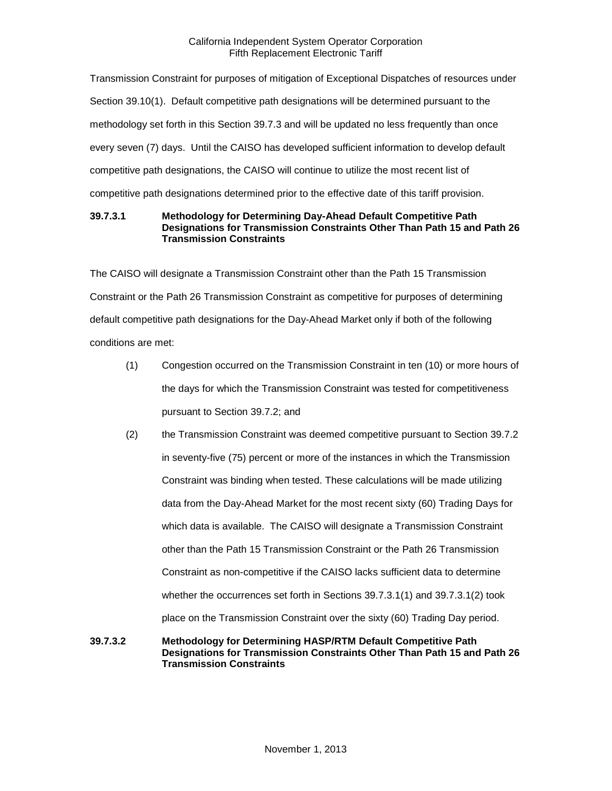Transmission Constraint for purposes of mitigation of Exceptional Dispatches of resources under Section 39.10(1). Default competitive path designations will be determined pursuant to the methodology set forth in this Section 39.7.3 and will be updated no less frequently than once every seven (7) days. Until the CAISO has developed sufficient information to develop default competitive path designations, the CAISO will continue to utilize the most recent list of competitive path designations determined prior to the effective date of this tariff provision.

## **39.7.3.1 Methodology for Determining Day-Ahead Default Competitive Path Designations for Transmission Constraints Other Than Path 15 and Path 26 Transmission Constraints**

The CAISO will designate a Transmission Constraint other than the Path 15 Transmission Constraint or the Path 26 Transmission Constraint as competitive for purposes of determining default competitive path designations for the Day-Ahead Market only if both of the following conditions are met:

- (1) Congestion occurred on the Transmission Constraint in ten (10) or more hours of the days for which the Transmission Constraint was tested for competitiveness pursuant to Section 39.7.2; and
- (2) the Transmission Constraint was deemed competitive pursuant to Section 39.7.2 in seventy-five (75) percent or more of the instances in which the Transmission Constraint was binding when tested. These calculations will be made utilizing data from the Day-Ahead Market for the most recent sixty (60) Trading Days for which data is available. The CAISO will designate a Transmission Constraint other than the Path 15 Transmission Constraint or the Path 26 Transmission Constraint as non-competitive if the CAISO lacks sufficient data to determine whether the occurrences set forth in Sections 39.7.3.1(1) and 39.7.3.1(2) took place on the Transmission Constraint over the sixty (60) Trading Day period.
- **39.7.3.2 Methodology for Determining HASP/RTM Default Competitive Path Designations for Transmission Constraints Other Than Path 15 and Path 26 Transmission Constraints**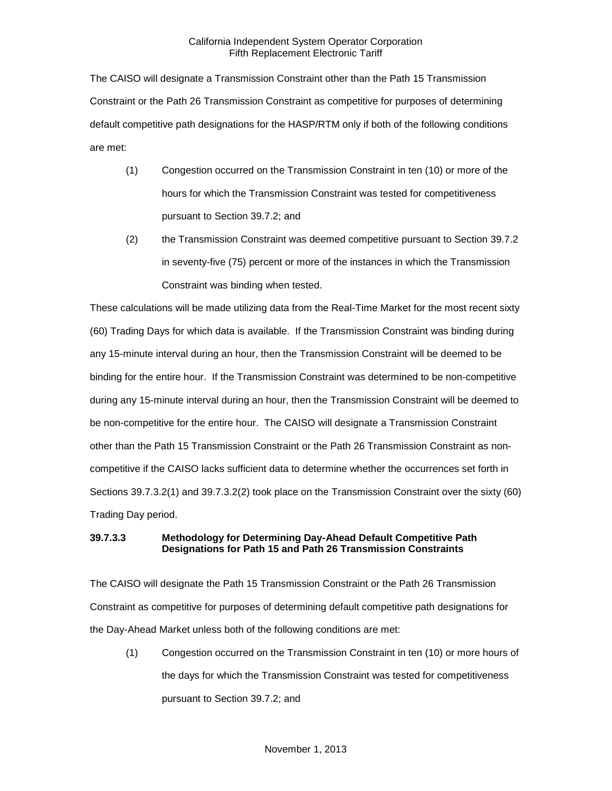The CAISO will designate a Transmission Constraint other than the Path 15 Transmission Constraint or the Path 26 Transmission Constraint as competitive for purposes of determining default competitive path designations for the HASP/RTM only if both of the following conditions are met:

- (1) Congestion occurred on the Transmission Constraint in ten (10) or more of the hours for which the Transmission Constraint was tested for competitiveness pursuant to Section 39.7.2; and
- (2) the Transmission Constraint was deemed competitive pursuant to Section 39.7.2 in seventy-five (75) percent or more of the instances in which the Transmission Constraint was binding when tested.

These calculations will be made utilizing data from the Real-Time Market for the most recent sixty (60) Trading Days for which data is available. If the Transmission Constraint was binding during any 15-minute interval during an hour, then the Transmission Constraint will be deemed to be binding for the entire hour. If the Transmission Constraint was determined to be non-competitive during any 15-minute interval during an hour, then the Transmission Constraint will be deemed to be non-competitive for the entire hour. The CAISO will designate a Transmission Constraint other than the Path 15 Transmission Constraint or the Path 26 Transmission Constraint as noncompetitive if the CAISO lacks sufficient data to determine whether the occurrences set forth in Sections 39.7.3.2(1) and 39.7.3.2(2) took place on the Transmission Constraint over the sixty (60) Trading Day period.

# **39.7.3.3 Methodology for Determining Day-Ahead Default Competitive Path Designations for Path 15 and Path 26 Transmission Constraints**

The CAISO will designate the Path 15 Transmission Constraint or the Path 26 Transmission Constraint as competitive for purposes of determining default competitive path designations for the Day-Ahead Market unless both of the following conditions are met:

(1) Congestion occurred on the Transmission Constraint in ten (10) or more hours of the days for which the Transmission Constraint was tested for competitiveness pursuant to Section 39.7.2; and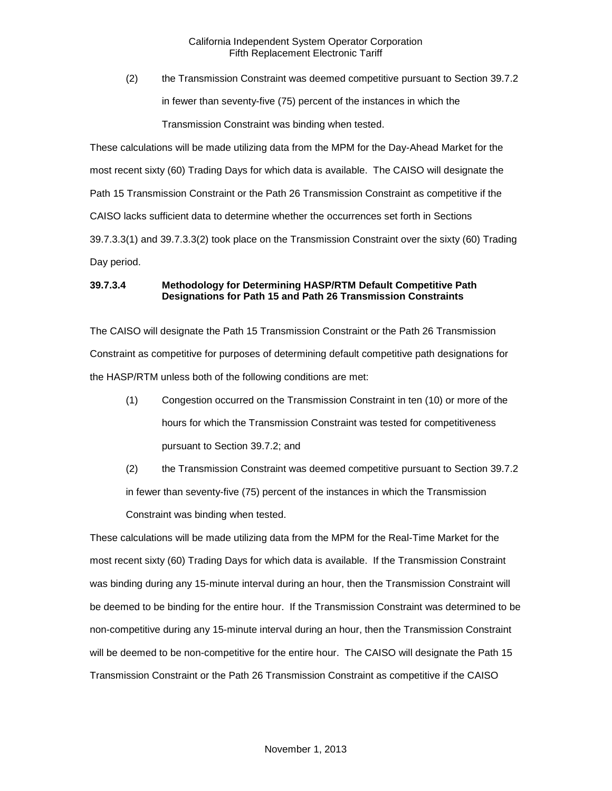(2) the Transmission Constraint was deemed competitive pursuant to Section 39.7.2 in fewer than seventy-five (75) percent of the instances in which the Transmission Constraint was binding when tested.

These calculations will be made utilizing data from the MPM for the Day-Ahead Market for the most recent sixty (60) Trading Days for which data is available. The CAISO will designate the Path 15 Transmission Constraint or the Path 26 Transmission Constraint as competitive if the CAISO lacks sufficient data to determine whether the occurrences set forth in Sections 39.7.3.3(1) and 39.7.3.3(2) took place on the Transmission Constraint over the sixty (60) Trading Day period.

# **39.7.3.4 Methodology for Determining HASP/RTM Default Competitive Path Designations for Path 15 and Path 26 Transmission Constraints**

The CAISO will designate the Path 15 Transmission Constraint or the Path 26 Transmission Constraint as competitive for purposes of determining default competitive path designations for the HASP/RTM unless both of the following conditions are met:

- (1) Congestion occurred on the Transmission Constraint in ten (10) or more of the hours for which the Transmission Constraint was tested for competitiveness pursuant to Section 39.7.2; and
- (2) the Transmission Constraint was deemed competitive pursuant to Section 39.7.2 in fewer than seventy-five (75) percent of the instances in which the Transmission Constraint was binding when tested.

These calculations will be made utilizing data from the MPM for the Real-Time Market for the most recent sixty (60) Trading Days for which data is available. If the Transmission Constraint was binding during any 15-minute interval during an hour, then the Transmission Constraint will be deemed to be binding for the entire hour. If the Transmission Constraint was determined to be non-competitive during any 15-minute interval during an hour, then the Transmission Constraint will be deemed to be non-competitive for the entire hour. The CAISO will designate the Path 15 Transmission Constraint or the Path 26 Transmission Constraint as competitive if the CAISO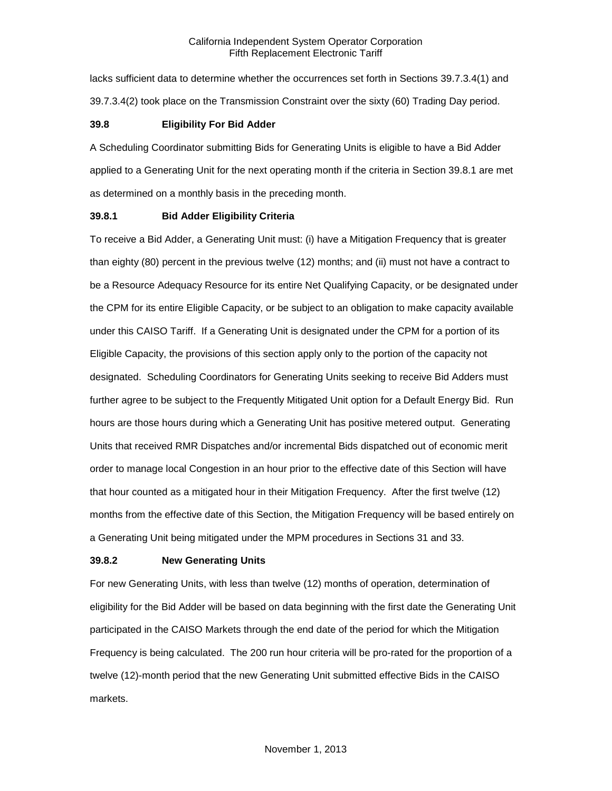lacks sufficient data to determine whether the occurrences set forth in Sections 39.7.3.4(1) and 39.7.3.4(2) took place on the Transmission Constraint over the sixty (60) Trading Day period.

#### <span id="page-23-0"></span>**39.8 Eligibility For Bid Adder**

A Scheduling Coordinator submitting Bids for Generating Units is eligible to have a Bid Adder applied to a Generating Unit for the next operating month if the criteria in Section 39.8.1 are met as determined on a monthly basis in the preceding month.

#### <span id="page-23-1"></span>**39.8.1 Bid Adder Eligibility Criteria**

To receive a Bid Adder, a Generating Unit must: (i) have a Mitigation Frequency that is greater than eighty (80) percent in the previous twelve (12) months; and (ii) must not have a contract to be a Resource Adequacy Resource for its entire Net Qualifying Capacity, or be designated under the CPM for its entire Eligible Capacity, or be subject to an obligation to make capacity available under this CAISO Tariff. If a Generating Unit is designated under the CPM for a portion of its Eligible Capacity, the provisions of this section apply only to the portion of the capacity not designated. Scheduling Coordinators for Generating Units seeking to receive Bid Adders must further agree to be subject to the Frequently Mitigated Unit option for a Default Energy Bid. Run hours are those hours during which a Generating Unit has positive metered output. Generating Units that received RMR Dispatches and/or incremental Bids dispatched out of economic merit order to manage local Congestion in an hour prior to the effective date of this Section will have that hour counted as a mitigated hour in their Mitigation Frequency. After the first twelve (12) months from the effective date of this Section, the Mitigation Frequency will be based entirely on a Generating Unit being mitigated under the MPM procedures in Sections 31 and 33.

#### <span id="page-23-2"></span>**39.8.2 New Generating Units**

For new Generating Units, with less than twelve (12) months of operation, determination of eligibility for the Bid Adder will be based on data beginning with the first date the Generating Unit participated in the CAISO Markets through the end date of the period for which the Mitigation Frequency is being calculated. The 200 run hour criteria will be pro-rated for the proportion of a twelve (12)-month period that the new Generating Unit submitted effective Bids in the CAISO markets.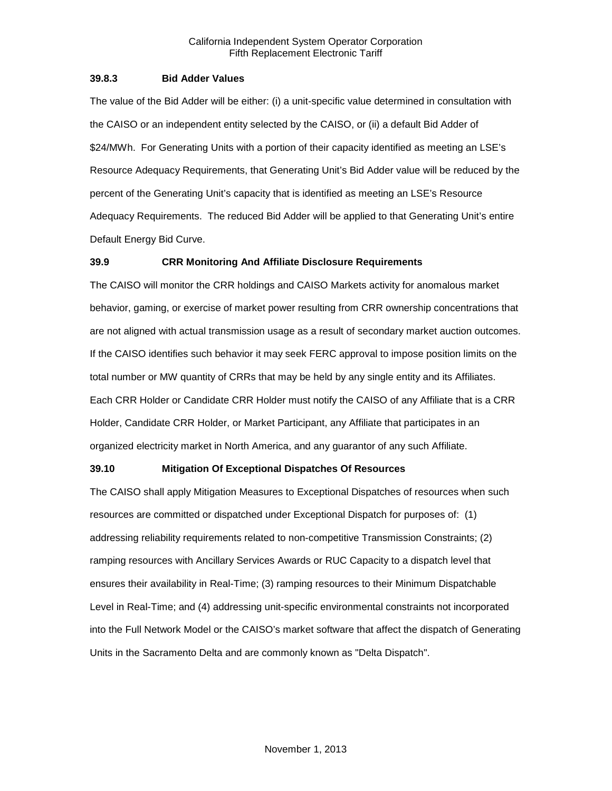#### <span id="page-24-0"></span>**39.8.3 Bid Adder Values**

The value of the Bid Adder will be either: (i) a unit-specific value determined in consultation with the CAISO or an independent entity selected by the CAISO, or (ii) a default Bid Adder of \$24/MWh. For Generating Units with a portion of their capacity identified as meeting an LSE's Resource Adequacy Requirements, that Generating Unit's Bid Adder value will be reduced by the percent of the Generating Unit's capacity that is identified as meeting an LSE's Resource Adequacy Requirements. The reduced Bid Adder will be applied to that Generating Unit's entire Default Energy Bid Curve.

#### <span id="page-24-1"></span>**39.9 CRR Monitoring And Affiliate Disclosure Requirements**

The CAISO will monitor the CRR holdings and CAISO Markets activity for anomalous market behavior, gaming, or exercise of market power resulting from CRR ownership concentrations that are not aligned with actual transmission usage as a result of secondary market auction outcomes. If the CAISO identifies such behavior it may seek FERC approval to impose position limits on the total number or MW quantity of CRRs that may be held by any single entity and its Affiliates. Each CRR Holder or Candidate CRR Holder must notify the CAISO of any Affiliate that is a CRR Holder, Candidate CRR Holder, or Market Participant, any Affiliate that participates in an organized electricity market in North America, and any guarantor of any such Affiliate.

#### <span id="page-24-2"></span>**39.10 Mitigation Of Exceptional Dispatches Of Resources**

The CAISO shall apply Mitigation Measures to Exceptional Dispatches of resources when such resources are committed or dispatched under Exceptional Dispatch for purposes of: (1) addressing reliability requirements related to non-competitive Transmission Constraints; (2) ramping resources with Ancillary Services Awards or RUC Capacity to a dispatch level that ensures their availability in Real-Time; (3) ramping resources to their Minimum Dispatchable Level in Real-Time; and (4) addressing unit-specific environmental constraints not incorporated into the Full Network Model or the CAISO's market software that affect the dispatch of Generating Units in the Sacramento Delta and are commonly known as "Delta Dispatch".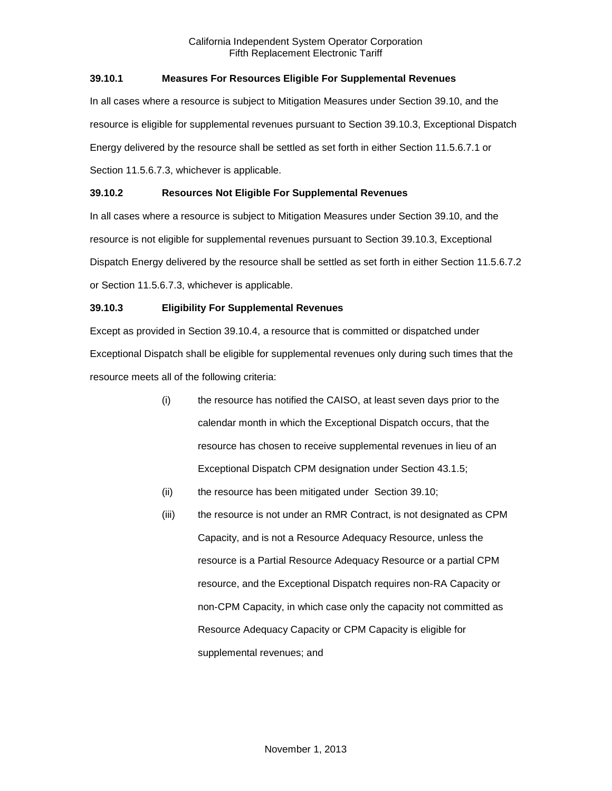# <span id="page-25-0"></span>**39.10.1 Measures For Resources Eligible For Supplemental Revenues**

In all cases where a resource is subject to Mitigation Measures under Section 39.10, and the resource is eligible for supplemental revenues pursuant to Section 39.10.3, Exceptional Dispatch Energy delivered by the resource shall be settled as set forth in either Section 11.5.6.7.1 or Section 11.5.6.7.3, whichever is applicable.

# <span id="page-25-1"></span>**39.10.2 Resources Not Eligible For Supplemental Revenues**

In all cases where a resource is subject to Mitigation Measures under Section 39.10, and the resource is not eligible for supplemental revenues pursuant to Section 39.10.3, Exceptional Dispatch Energy delivered by the resource shall be settled as set forth in either Section 11.5.6.7.2 or Section 11.5.6.7.3, whichever is applicable.

# <span id="page-25-2"></span>**39.10.3 Eligibility For Supplemental Revenues**

Except as provided in Section 39.10.4, a resource that is committed or dispatched under Exceptional Dispatch shall be eligible for supplemental revenues only during such times that the resource meets all of the following criteria:

- (i) the resource has notified the CAISO, at least seven days prior to the calendar month in which the Exceptional Dispatch occurs, that the resource has chosen to receive supplemental revenues in lieu of an Exceptional Dispatch CPM designation under Section 43.1.5;
- (ii) the resource has been mitigated under Section 39.10;
- (iii) the resource is not under an RMR Contract, is not designated as CPM Capacity, and is not a Resource Adequacy Resource, unless the resource is a Partial Resource Adequacy Resource or a partial CPM resource, and the Exceptional Dispatch requires non-RA Capacity or non-CPM Capacity, in which case only the capacity not committed as Resource Adequacy Capacity or CPM Capacity is eligible for supplemental revenues; and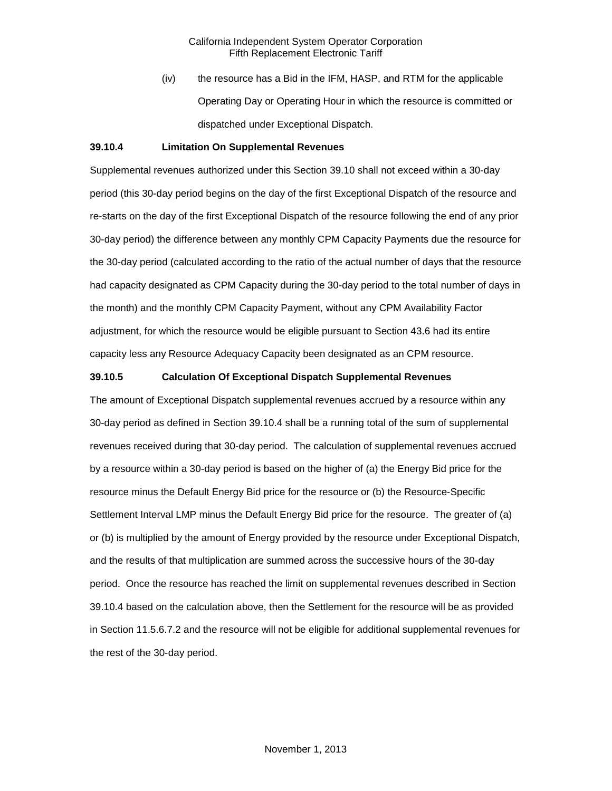(iv) the resource has a Bid in the IFM, HASP, and RTM for the applicable Operating Day or Operating Hour in which the resource is committed or dispatched under Exceptional Dispatch.

#### <span id="page-26-0"></span>**39.10.4 Limitation On Supplemental Revenues**

Supplemental revenues authorized under this Section 39.10 shall not exceed within a 30-day period (this 30-day period begins on the day of the first Exceptional Dispatch of the resource and re-starts on the day of the first Exceptional Dispatch of the resource following the end of any prior 30-day period) the difference between any monthly CPM Capacity Payments due the resource for the 30-day period (calculated according to the ratio of the actual number of days that the resource had capacity designated as CPM Capacity during the 30-day period to the total number of days in the month) and the monthly CPM Capacity Payment, without any CPM Availability Factor adjustment, for which the resource would be eligible pursuant to Section 43.6 had its entire capacity less any Resource Adequacy Capacity been designated as an CPM resource.

#### <span id="page-26-1"></span>**39.10.5 Calculation Of Exceptional Dispatch Supplemental Revenues**

The amount of Exceptional Dispatch supplemental revenues accrued by a resource within any 30-day period as defined in Section 39.10.4 shall be a running total of the sum of supplemental revenues received during that 30-day period. The calculation of supplemental revenues accrued by a resource within a 30-day period is based on the higher of (a) the Energy Bid price for the resource minus the Default Energy Bid price for the resource or (b) the Resource-Specific Settlement Interval LMP minus the Default Energy Bid price for the resource. The greater of (a) or (b) is multiplied by the amount of Energy provided by the resource under Exceptional Dispatch, and the results of that multiplication are summed across the successive hours of the 30-day period. Once the resource has reached the limit on supplemental revenues described in Section 39.10.4 based on the calculation above, then the Settlement for the resource will be as provided in Section 11.5.6.7.2 and the resource will not be eligible for additional supplemental revenues for the rest of the 30-day period.